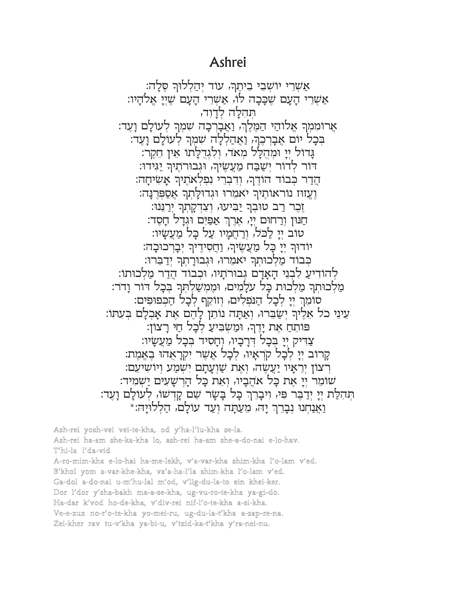## Ashrei

אַשְרֵי יוֹשָׁבֵי בֵיתֵךּ, עוֹד יְהַלְלוּךְ סֶלָה: אַשְרֵי הַעֲם שֶׁכַּבָה לוֹ, אַשְרֵי הַעֲם שֶׁיֵי אֲלֹהֵיו: תהלה לדוד, אֲרוֹמְמִךְ אֱלוֹהַי הַמֶּלֶךְ, וַאֲבַרְכָה שִׁמְךָ לְעוֹלַם וַעֲד: בִּכָל יוֹם אַבְרְכֵךָ, וַאֲהַלְלָה שִׁמְךָ לְעוֹלָם וָעֵד: גַּדוֹל יִיַ וּמִהְלֵל מִאד, וְלְגִדְלַתוֹ אֵין חֲקֵר: דור לדור ישבח מַעֲשֶׂיךָ, וגבורתֵיךְ יַגִּידוּ: הֵדַר כִּבוֹד הוֹדֵךְ, וִדְבְרֵי נִפְלְאחֵיךָ אַשִׂיחַה: וֵעֲזוּז נוֹראוֹתֵיךְ יאמרוּ וּגְדוּלַתְרְ אֵסַפְּרְנַה: ַזְכָר רַב טוּבְךְ יַבִּיעוּ, וְצְדְקָתְךָ יְרַנְּנוּ: חַנּוּן וְרַחוּם יִיַ, אֲרֶךְ אַפַּיִם וּגְדַל חַסֶד: טוב ייַ לַכל, ורַחֲמַיו עַל כָּל מַעֲשֵׂיו: יודור יִיַ כַּל מַעֲשֵׂיך, וַחֲסִידֵיך יִבַרְכוּכָה: כִבוֹד מַלְכוּתְךְ יֹאמֵרוּ, וּגִבוּרַתְךְ יִדַבְרוּ: לְהוֹדִיעַ לִבְנֵי הַאֲדָם גִבוּרֹתֵיוּ, וּכְבוֹד הֵדַר מַלְכוּתוֹ: מַלְכוּתְרָ מַלְכוּת כַּל עלַמִים, וּמֵמַשַׁלְתָּךְ בִּכַל דוֹר וַדֹר: סומֵךְ יִיַ לִכָל הַנִּפְלִים, וְזוֹקֵף לִכַל הַכִּפוּפִים: עֵינֵי כֹל אֵלֶיךָ יִשַׂבֵּרוּ, וְאַתָּה נוֹתֵן לָהֶם אֶת אָכְלָם בִּעָתּוֹ: פותח את ידר, ומשביע לכל חי רצון: צַדִּיק יַיַ בִּכַל דְרַכֵּיוּ, וְחַסִיד בִּכַל מַעֲשֵׂיו: קרוב ייַ לְכָל קרְאַיו, לְכָל אֵשֶׁר יִקְרָאָהוּ בְאֲמֶת: רְצוֹן יִרְאַיו יַעֲשֶׂה, וְאֶת שַׁוְעַתַם יְשְׁמַע וְיוֹשִיעֵם: שומר יי את כל אהביו, ואת כל הרשעים ישמיד: תִּהִלַּת יִיַ יִדַבֵּר פִּי, וִיבָרֵךְ כָּל בָּשָׂר שֵׁם קָדְשׁוּ, לְעוֹלָם וָעֵד: וַאֲנַחְנוּ נְבָרֶךְ יַהֹּ, מֵעֲתָּה וְעַד עולַם, הַלְלוּיַהּ:\*

Ash-rei yosh-vei vei-te-kha, od y'ha-l'lu-kha se-la. Ash-rei ha-am she-ka-kha lo, ash-rei ha-am she-a-do-nai e-lo-hav. T'hi-la l'da-vid A-ro-mim-kha e-lo-hai ha-me-lekh, v'a-var-kha shim-kha l'o-lam v'ed. B'khol yom a-var-khe-kha, va'a-ha-l'la shim-kha l'o-lam v'ed. Ga-dol a-do-nai u-m'hu-lal m'od, v'lig-du-la-to ein khei-ker. Dor l'dor y'sha-bakh ma-a-se-kha, ug-vu-ro-te-kha ya-gi-do. Ha-dar k'vod ho-de-kha, v'div-rei nif-l'o-te-kha a-si-kha. Ve-e-zuz no-r'o-te-kha yo-mei-ru, ug-du-la-t'kha a-sap-re-na. Zei-kher rav tu-v'kha ya-bi-u, v'tzid-ka-t'kha y'ra-nei-nu.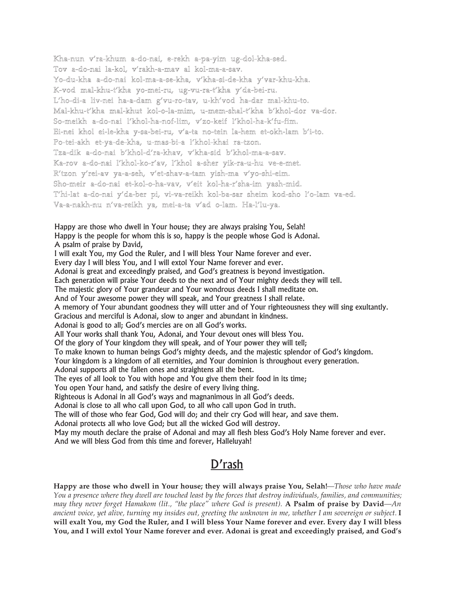Kha-nun v'ra-khum a-do-nai, e-rekh a-pa-yim ug-dol-kha-sed. Tov a-do-nai la-kol, v'rakh-a-mav al kol-ma-a-sav. Yo-du-kha a-do-nai kol-ma-a-se-kha, v'kha-si-de-kha y'var-khu-kha. K-vod mal-khu-t'kha yo-mei-ru, ug-vu-ra-t'kha y'da-bei-ru. L'ho-di-a liv-nei ha-a-dam g'vu-ro-tav, u-kh'vod ha-dar mal-khu-to. Mal-khu-t'kha mal-khut kol-o-la-mim, u-mem-shal-t'kha b'khol-dor va-dor. So-meikh a-do-nai l'khol-ha-nof-lim, v'zo-keif l'khol-ha-k'fu-fim. Ei-nei khol ei-le-kha y-sa-bei-ru, v'a-ta no-tein la-hem et-okh-lam b'i-to. Po-tei-akh et-ya-de-kha, u-mas-bi-a l'khol-khai ra-tzon. Tza-dik a-do-nai b'khol-d'ra-khav, v'kha-sid b'khol-ma-a-sav. Ka-rov a-do-nai l'khol-ko-r'av, l'khol a-sher yik-ra-u-hu ve-e-met. R'tzon y'rei-av ya-a-seh, v'et-shav-a-tam yish-ma v'yo-shi-eim. Sho-meir a-do-nai et-kol-o-ha-vav, v'eit kol-ha-r'sha-im yash-mid. T'hi-lat a-do-nai y'da-ber pi, vi-va-reikh kol-ba-sar sheim kod-sho l'o-lam va-ed. Va-a-nakh-nu n'va-reikh ya, mei-a-ta v'ad o-lam. Ha-l'lu-ya. Happy are those who dwell in Your house; they are always praising You, Selah!

Happy is the people for whom this is so, happy is the people whose God is Adonai. A psalm of praise by David,

I will exalt You, my God the Ruler, and I will bless Your Name forever and ever.

Every day I will bless You, and I will extol Your Name forever and ever.

Adonai is great and exceedingly praised, and God's greatness is beyond investigation.

Each generation will praise Your deeds to the next and of Your mighty deeds they will tell.

The majestic glory of Your grandeur and Your wondrous deeds I shall meditate on.

And of Your awesome power they will speak, and Your greatness I shall relate.

A memory of Your abundant goodness they will utter and of Your righteousness they will sing exultantly.

Gracious and merciful is Adonai, slow to anger and abundant in kindness.

Adonai is good to all; God's mercies are on all God's works.

All Your works shall thank You, Adonai, and Your devout ones will bless You.

Of the glory of Your kingdom they will speak, and of Your power they will tell;

To make known to human beings God's mighty deeds, and the majestic splendor of God's kingdom.

Your kingdom is a kingdom of all eternities, and Your dominion is throughout every generation.

Adonai supports all the fallen ones and straightens all the bent.

The eyes of all look to You with hope and You give them their food in its time;

You open Your hand, and satisfy the desire of every living thing.

Righteous is Adonai in all God's ways and magnanimous in all God's deeds.

Adonai is close to all who call upon God, to all who call upon God in truth.

The will of those who fear God, God will do; and their cry God will hear, and save them.

Adonai protects all who love God; but all the wicked God will destroy.

May my mouth declare the praise of Adonai and may all flesh bless God's Holy Name forever and ever. And we will bless God from this time and forever, Halleluyah!

## D'rash

**Happy are those who dwell in Your house; they will always praise You, Selah!***—Those who have made* You a presence where they dwell are touched least by the forces that destroy individuals, families, and communities; may they never forget Hamakom (lit., "the place" where God is present). A Psalm of praise by David-An ancient voice, yet alive, turning my insides out, greeting the unknown in me, whether I am sovereign or subject. I will exalt You, my God the Ruler, and I will bless Your Name forever and ever. Every day I will bless You, and I will extol Your Name forever and ever. Adonai is great and exceedingly praised, and God's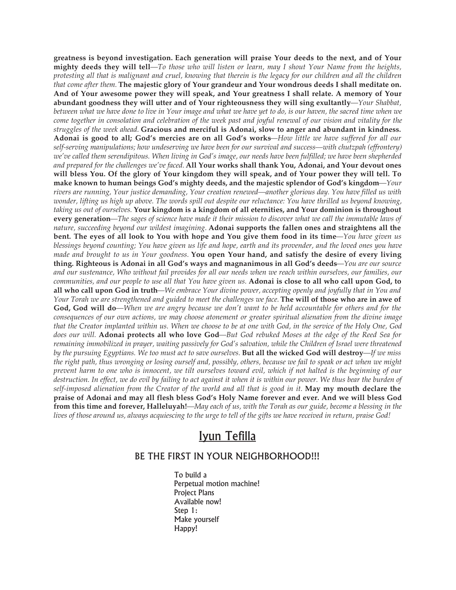**greatness is beyond investigation. Each generation will praise Your deeds to the next, and of Your** mighty deeds they will tell—To those who will listen or learn, may I shout Your Name from the heights, protesting all that is malignant and cruel, knowing that therein is the legacy for our children and all the children that come after them. The majestic glory of Your grandeur and Your wondrous deeds I shall meditate on. **And of Your awesome power they will speak, and Your greatness I shall relate. A memory of Your abundant goodness they will utter and of Your righteousness they will sing exultantly***—Your Shabbat, between what we have done to live in Your image and what we have yet to do, is our haven, the sacred time when we* come together in consolation and celebration of the week past and joyful renewal of our vision and vitality for the *struggles of the week ahead.* **Gracious and merciful is Adonai, slow to anger and abundant in kindness.** Adonai is good to all; God's mercies are on all God's works-How little we have suffered for all our *self-serving manipulations; how undeserving we have been for our survival and success—with chutzpah (effrontery)* we've called them serendipitous. When living in God's image, our needs have been fulfilled; we have been shepherded and prepared for the challenges we've faced. All Your works shall thank You, Adonai, and Your devout ones will bless You. Of the glory of Your kingdom they will speak, and of Your power they will tell. To **make known to human beings God's mighty deeds, and the majestic splendor of God's kingdom***—Your rivers are running, Your justice demanding, Your creation renewed—another glorious day. You have filled us with* wonder, lifting us high up above. The words spill out despite our reluctance: You have thrilled us beyond knowing, *taking us out of ourselves.* **Your kingdom is a kingdom of all eternities, and Your dominion is throughout** every generation—The sages of science have made it their mission to discover what we call the immutable laws of *nature, succeeding beyond our wildest imagining.* **Adonai supports the fallen ones and straightens all the** bent. The eyes of all look to You with hope and You give them food in its time—You have given us blessings beyond counting; You have given us life and hope, earth and its provender, and the loved ones you have made and brought to us in Your goodness. You open Your hand, and satisfy the desire of every living **thing. Righteous is Adonai in all God's ways and magnanimous in all God's deeds***—You are our source* and our sustenance, Who without fail provides for all our needs when we reach within ourselves, our families, our communities, and our people to use all that You have given us. Adonai is close to all who call upon God, to all who call upon God in truth—We embrace Your divine power, accepting openly and joyfully that in You and Your Torah we are strengthened and guided to meet the challenges we face. The will of those who are in awe of God, God will do—When we are angry because we don't want to be held accountable for others and for the consequences of our own actions, we may choose atonement or greater spiritual alienation from the divine image that the Creator implanted within us. When we choose to be at one with God, in the service of the Holy One, God does our will. Adonai protects all who love God—But God rebuked Moses at the edge of the Reed Sea for *remaining immobilized in prayer, waiting passively for God's salvation, while the Children of Israel were threatened by the pursuing Egyptians. We too must act to save ourselves.* **But all the wicked God will destroy***—If we miss* the right path, thus wronging or losing ourself and, possibly, others, because we fail to speak or act when we might prevent harm to one who is innocent, we tilt ourselves toward evil, which if not halted is the beginning of our destruction. In effect, we do evil by failing to act against it when it is within our power. We thus bear the burden of self-imposed alienation from the Creator of the world and all that is good in it. May my mouth declare the praise of Adonai and may all flesh bless God's Holy Name forever and ever. And we will bless God **from this time and forever, Halleluyah!***—May each of us, with the Torah as our guide, become a blessing in the lives of those around us, always acquiescing to the urge to tell of the gifts we have received in return, praise God!*

## Iyun Tefilla

## BE THE FIRST IN YOUR NEIGHBORHOOD!!!

To build a Perpetual motion machine! Project Plans Available now! Step 1: Make yourself Happy!